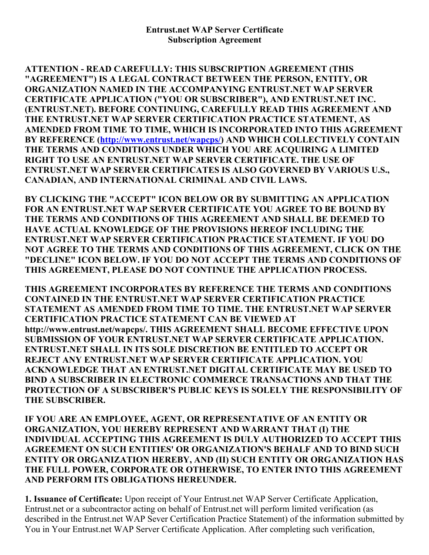ATTENTION READ CAREFULLY: THIS SUBSCRIPTION AGREEMENT (THIS "AGREEMENT") IS A LEGAL CONTRACT BETWEEN THE PERSON, ENTITY, OR ORGANIZATION NAMED IN THE ACCOMPANYING ENTRUST.NET WAP SERVER CERTIFICATE APPLICATION ("YOU OR SUBSCRIBER"), AND ENTRUST.NET INC. (ENTRUST.NET). BEFORE CONTINUING, CAREFULLY READ THIS AGREEMENT AND THE ENTRUST.NET WAP SERVER CERTIFICATION PRACTICE STATEMENT, AS AMENDED FROM TIME TO TIME, WHICH IS INCORPORATED INTO THIS AGREEMENT BY REFERENCE ([http://www.entrust.net/wapcps/\)](http://www.entrust.net/wapcps/) AND WHICH COLLECTIVELY CONTAIN THE TERMS AND CONDITIONS UNDER WHICH YOU ARE ACQUIRING A LIMITED RIGHT TO USE AN ENTRUST.NET WAP SERVER CERTIFICATE. THE USE OF ENTRUST.NET WAP SERVER CERTIFICATES IS ALSO GOVERNED BY VARIOUS U.S., CANADIAN, AND INTERNATIONAL CRIMINAL AND CIVIL LAWS.

BY CLICKING THE "ACCEPT" ICON BELOW OR BY SUBMITTING AN APPLICATION FOR AN ENTRUST.NET WAP SERVER CERTIFICATE YOU AGREE TO BE BOUND BY THE TERMS AND CONDITIONS OF THIS AGREEMENT AND SHALL BE DEEMED TO HAVE ACTUAL KNOWLEDGE OF THE PROVISIONS HEREOF INCLUDING THE ENTRUST.NET WAP SERVER CERTIFICATION PRACTICE STATEMENT. IF YOU DO NOT AGREE TO THE TERMS AND CONDITIONS OF THIS AGREEMENT, CLICK ON THE "DECLINE" ICON BELOW. IF YOU DO NOT ACCEPT THE TERMS AND CONDITIONS OF THIS AGREEMENT, PLEASE DO NOT CONTINUE THE APPLICATION PROCESS.

THIS AGREEMENT INCORPORATES BY REFERENCE THE TERMS AND CONDITIONS CONTAINED IN THE ENTRUST.NET WAP SERVER CERTIFICATION PRACTICE STATEMENT AS AMENDED FROM TIME TO TIME. THE ENTRUST.NET WAP SERVER CERTIFICATION PRACTICE STATEMENT CAN BE VIEWED AT http://www.entrust.net/wapcps/. THIS AGREEMENT SHALL BECOME EFFECTIVE UPON SUBMISSION OF YOUR ENTRUST.NET WAP SERVER CERTIFICATE APPLICATION. ENTRUST.NET SHALL IN ITS SOLE DISCRETION BE ENTITLED TO ACCEPT OR REJECT ANY ENTRUST.NET WAP SERVER CERTIFICATE APPLICATION. YOU ACKNOWLEDGE THAT AN ENTRUST.NET DIGITAL CERTIFICATE MAY BE USED TO BIND A SUBSCRIBER IN ELECTRONIC COMMERCE TRANSACTIONS AND THAT THE PROTECTION OF A SUBSCRIBER'S PUBLIC KEYS IS SOLELY THE RESPONSIBILITY OF THE SUBSCRIBER.

IF YOU ARE AN EMPLOYEE, AGENT, OR REPRESENTATIVE OF AN ENTITY OR ORGANIZATION, YOU HEREBY REPRESENT AND WARRANT THAT (I) THE INDIVIDUAL ACCEPTING THIS AGREEMENT IS DULY AUTHORIZED TO ACCEPT THIS AGREEMENT ON SUCH ENTITIES' OR ORGANIZATION'S BEHALF AND TO BIND SUCH ENTITY OR ORGANIZATION HEREBY, AND (II) SUCH ENTITY OR ORGANIZATION HAS THE FULL POWER, CORPORATE OR OTHERWISE, TO ENTER INTO THIS AGREEMENT AND PERFORM ITS OBLIGATIONS HEREUNDER.

1. Issuance of Certificate: Upon receipt of Your Entrust.net WAP Server Certificate Application, Entrust.net or a subcontractor acting on behalf of Entrust.net will perform limited verification (as described in the Entrust.net WAP Sever Certification Practice Statement) of the information submitted by You in Your Entrust.net WAP Server Certificate Application. After completing such verification,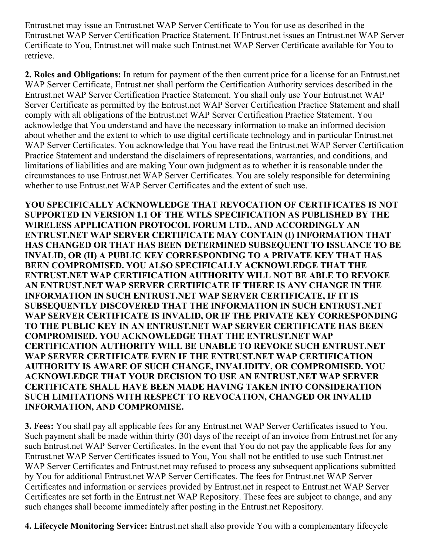Entrust.net may issue an Entrust.net WAP Server Certificate to You for use as described in the Entrust.net WAP Server Certification Practice Statement. If Entrust.net issues an Entrust.net WAP Server Certificate to You, Entrust.net will make such Entrust.net WAP Server Certificate available for You to retrieve.

2. Roles and Obligations: In return for payment of the then current price for a license for an Entrust.net WAP Server Certificate, Entrust.net shall perform the Certification Authority services described in the Entrust.net WAP Server Certification Practice Statement. You shall only use Your Entrust.net WAP Server Certificate as permitted by the Entrust.net WAP Server Certification Practice Statement and shall comply with all obligations of the Entrust.net WAP Server Certification Practice Statement. You acknowledge that You understand and have the necessary information to make an informed decision about whether and the extent to which to use digital certificate technology and in particular Entrust.net WAP Server Certificates. You acknowledge that You have read the Entrust.net WAP Server Certification Practice Statement and understand the disclaimers of representations, warranties, and conditions, and limitations of liabilities and are making Your own judgment as to whether it is reasonable under the circumstances to use Entrust.net WAP Server Certificates. You are solely responsible for determining whether to use Entrust.net WAP Server Certificates and the extent of such use.

YOU SPECIFICALLY ACKNOWLEDGE THAT REVOCATION OF CERTIFICATES IS NOT SUPPORTED IN VERSION 1.1 OF THE WTLS SPECIFICATION AS PUBLISHED BY THE WIRELESS APPLICATION PROTOCOL FORUM LTD., AND ACCORDINGLY AN ENTRUST.NET WAP SERVER CERTIFICATE MAY CONTAIN (I) INFORMATION THAT HAS CHANGED OR THAT HAS BEEN DETERMINED SUBSEQUENT TO ISSUANCE TO BE INVALID, OR (II) A PUBLIC KEY CORRESPONDING TO A PRIVATE KEY THAT HAS BEEN COMPROMISED. YOU ALSO SPECIFICALLY ACKNOWLEDGE THAT THE ENTRUST.NET WAP CERTIFICATION AUTHORITY WILL NOT BE ABLE TO REVOKE AN ENTRUST.NET WAP SERVER CERTIFICATE IF THERE IS ANY CHANGE IN THE INFORMATION IN SUCH ENTRUST.NET WAP SERVER CERTIFICATE, IF IT IS SUBSEQUENTLY DISCOVERED THAT THE INFORMATION IN SUCH ENTRUST.NET WAP SERVER CERTIFICATE IS INVALID, OR IF THE PRIVATE KEY CORRESPONDING TO THE PUBLIC KEY IN AN ENTRUST.NET WAP SERVER CERTIFICATE HAS BEEN COMPROMISED. YOU ACKNOWLEDGE THAT THE ENTRUST.NET WAP CERTIFICATION AUTHORITY WILL BE UNABLE TO REVOKE SUCH ENTRUST.NET WAP SERVER CERTIFICATE EVEN IF THE ENTRUST.NET WAP CERTIFICATION AUTHORITY IS AWARE OF SUCH CHANGE, INVALIDITY, OR COMPROMISED. YOU ACKNOWLEDGE THAT YOUR DECISION TO USE AN ENTRUST.NET WAP SERVER CERTIFICATE SHALL HAVE BEEN MADE HAVING TAKEN INTO CONSIDERATION SUCH LIMITATIONS WITH RESPECT TO REVOCATION, CHANGED OR INVALID INFORMATION, AND COMPROMISE.

3. Fees: You shall pay all applicable fees for any Entrust.net WAP Server Certificates issued to You. Such payment shall be made within thirty (30) days of the receipt of an invoice from Entrust.net for any such Entrust.net WAP Server Certificates. In the event that You do not pay the applicable fees for any Entrust.net WAP Server Certificates issued to You, You shall not be entitled to use such Entrust.net WAP Server Certificates and Entrust.net may refused to process any subsequent applications submitted by You for additional Entrust.net WAP Server Certificates. The fees for Entrust.net WAP Server Certificates and information or services provided by Entrust.net in respect to Entrust.net WAP Server Certificates are set forth in the Entrust.net WAP Repository. These fees are subject to change, and any such changes shall become immediately after posting in the Entrust.net Repository.

4. Lifecycle Monitoring Service: Entrust.net shall also provide You with a complementary lifecycle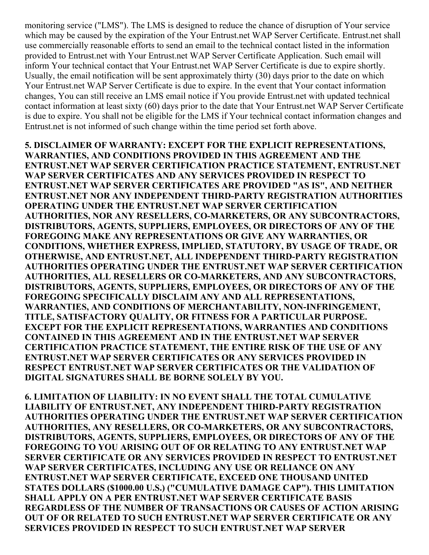monitoring service ("LMS"). The LMS is designed to reduce the chance of disruption of Your service which may be caused by the expiration of the Your Entrust.net WAP Server Certificate. Entrust.net shall use commercially reasonable efforts to send an email to the technical contact listed in the information provided to Entrust.net with Your Entrust.net WAP Server Certificate Application. Such email will inform Your technical contact that Your Entrust.net WAP Server Certificate is due to expire shortly. Usually, the email notification will be sent approximately thirty (30) days prior to the date on which Your Entrust.net WAP Server Certificate is due to expire. In the event that Your contact information changes, You can still receive an LMS email notice if You provide Entrust.net with updated technical contact information at least sixty (60) days prior to the date that Your Entrust.net WAP Server Certificate is due to expire. You shall not be eligible for the LMS if Your technical contact information changes and Entrust.net is not informed of such change within the time period set forth above.

5. DISCLAIMER OF WARRANTY: EXCEPT FOR THE EXPLICIT REPRESENTATIONS, WARRANTIES, AND CONDITIONS PROVIDED IN THIS AGREEMENT AND THE ENTRUST.NET WAP SERVER CERTIFICATION PRACTICE STATEMENT, ENTRUST.NET WAP SERVER CERTIFICATES AND ANY SERVICES PROVIDED IN RESPECT TO ENTRUST.NET WAP SERVER CERTIFICATES ARE PROVIDED "AS IS", AND NEITHER ENTRUST.NET NOR ANY INDEPENDENT THIRD-PARTY REGISTRATION AUTHORITIES OPERATING UNDER THE ENTRUST.NET WAP SERVER CERTIFICATION AUTHORITIES, NOR ANY RESELLERS, CO-MARKETERS, OR ANY SUBCONTRACTORS, DISTRIBUTORS, AGENTS, SUPPLIERS, EMPLOYEES, OR DIRECTORS OF ANY OF THE FOREGOING MAKE ANY REPRESENTATIONS OR GIVE ANY WARRANTIES, OR CONDITIONS, WHETHER EXPRESS, IMPLIED, STATUTORY, BY USAGE OF TRADE, OR OTHERWISE, AND ENTRUST.NET, ALL INDEPENDENT THIRD-PARTY REGISTRATION AUTHORITIES OPERATING UNDER THE ENTRUST.NET WAP SERVER CERTIFICATION AUTHORITIES, ALL RESELLERS OR COMARKETERS, AND ANY SUBCONTRACTORS, DISTRIBUTORS, AGENTS, SUPPLIERS, EMPLOYEES, OR DIRECTORS OF ANY OF THE FOREGOING SPECIFICALLY DISCLAIM ANY AND ALL REPRESENTATIONS, WARRANTIES, AND CONDITIONS OF MERCHANTABILITY, NON-INFRINGEMENT, TITLE, SATISFACTORY QUALITY, OR FITNESS FOR A PARTICULAR PURPOSE. EXCEPT FOR THE EXPLICIT REPRESENTATIONS, WARRANTIES AND CONDITIONS CONTAINED IN THIS AGREEMENT AND IN THE ENTRUST.NET WAP SERVER CERTIFICATION PRACTICE STATEMENT, THE ENTIRE RISK OF THE USE OF ANY ENTRUST.NET WAP SERVER CERTIFICATES OR ANY SERVICES PROVIDED IN RESPECT ENTRUST.NET WAP SERVER CERTIFICATES OR THE VALIDATION OF DIGITAL SIGNATURES SHALL BE BORNE SOLELY BY YOU.

6. LIMITATION OF LIABILITY: IN NO EVENT SHALL THE TOTAL CUMULATIVE LIABILITY OF ENTRUST.NET, ANY INDEPENDENT THIRD-PARTY REGISTRATION AUTHORITIES OPERATING UNDER THE ENTRUST.NET WAP SERVER CERTIFICATION AUTHORITIES, ANY RESELLERS, OR COMARKETERS, OR ANY SUBCONTRACTORS, DISTRIBUTORS, AGENTS, SUPPLIERS, EMPLOYEES, OR DIRECTORS OF ANY OF THE FOREGOING TO YOU ARISING OUT OF OR RELATING TO ANY ENTRUST.NET WAP SERVER CERTIFICATE OR ANY SERVICES PROVIDED IN RESPECT TO ENTRUST.NET WAP SERVER CERTIFICATES, INCLUDING ANY USE OR RELIANCE ON ANY ENTRUST.NET WAP SERVER CERTIFICATE, EXCEED ONE THOUSAND UNITED STATES DOLLARS (\$1000.00 U.S.) ("CUMULATIVE DAMAGE CAP"). THIS LIMITATION SHALL APPLY ON A PER ENTRUST.NET WAP SERVER CERTIFICATE BASIS REGARDLESS OF THE NUMBER OF TRANSACTIONS OR CAUSES OF ACTION ARISING OUT OF OR RELATED TO SUCH ENTRUST.NET WAP SERVER CERTIFICATE OR ANY SERVICES PROVIDED IN RESPECT TO SUCH ENTRUST.NET WAP SERVER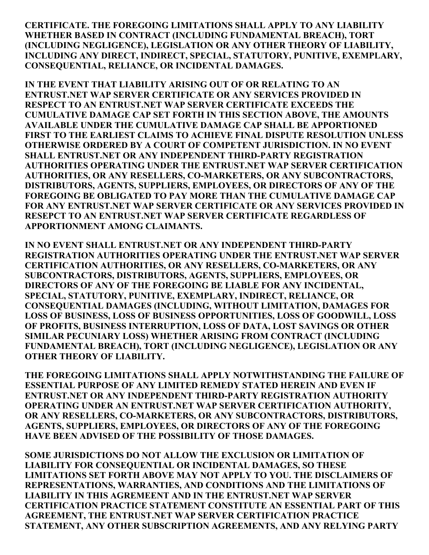CERTIFICATE. THE FOREGOING LIMITATIONS SHALL APPLY TO ANY LIABILITY WHETHER BASED IN CONTRACT (INCLUDING FUNDAMENTAL BREACH), TORT (INCLUDING NEGLIGENCE), LEGISLATION OR ANY OTHER THEORY OF LIABILITY, INCLUDING ANY DIRECT, INDIRECT, SPECIAL, STATUTORY, PUNITIVE, EXEMPLARY, CONSEQUENTIAL, RELIANCE, OR INCIDENTAL DAMAGES.

IN THE EVENT THAT LIABILITY ARISING OUT OF OR RELATING TO AN ENTRUST.NET WAP SERVER CERTIFICATE OR ANY SERVICES PROVIDED IN RESPECT TO AN ENTRUST.NET WAP SERVER CERTIFICATE EXCEEDS THE CUMULATIVE DAMAGE CAP SET FORTH IN THIS SECTION ABOVE, THE AMOUNTS AVAILABLE UNDER THE CUMULATIVE DAMAGE CAP SHALL BE APPORTIONED FIRST TO THE EARLIEST CLAIMS TO ACHIEVE FINAL DISPUTE RESOLUTION UNLESS OTHERWISE ORDERED BY A COURT OF COMPETENT JURISDICTION. IN NO EVENT SHALL ENTRUST.NET OR ANY INDEPENDENT THIRD-PARTY REGISTRATION AUTHORITIES OPERATING UNDER THE ENTRUST.NET WAP SERVER CERTIFICATION AUTHORITIES, OR ANY RESELLERS, CO-MARKETERS, OR ANY SUBCONTRACTORS, DISTRIBUTORS, AGENTS, SUPPLIERS, EMPLOYEES, OR DIRECTORS OF ANY OF THE FOREGOING BE OBLIGATED TO PAY MORE THAN THE CUMULATIVE DAMAGE CAP FOR ANY ENTRUST.NET WAP SERVER CERTIFICATE OR ANY SERVICES PROVIDED IN RESEPCT TO AN ENTRUST.NET WAP SERVER CERTIFICATE REGARDLESS OF APPORTIONMENT AMONG CLAIMANTS.

IN NO EVENT SHALL ENTRUST.NET OR ANY INDEPENDENT THIRD-PARTY REGISTRATION AUTHORITIES OPERATING UNDER THE ENTRUST.NET WAP SERVER CERTIFICATION AUTHORITIES, OR ANY RESELLERS, CO-MARKETERS, OR ANY SUBCONTRACTORS, DISTRIBUTORS, AGENTS, SUPPLIERS, EMPLOYEES, OR DIRECTORS OF ANY OF THE FOREGOING BE LIABLE FOR ANY INCIDENTAL, SPECIAL, STATUTORY, PUNITIVE, EXEMPLARY, INDIRECT, RELIANCE, OR CONSEQUENTIAL DAMAGES (INCLUDING, WITHOUT LIMITATION, DAMAGES FOR LOSS OF BUSINESS, LOSS OF BUSINESS OPPORTUNITIES, LOSS OF GOODWILL, LOSS OF PROFITS, BUSINESS INTERRUPTION, LOSS OF DATA, LOST SAVINGS OR OTHER SIMILAR PECUNIARY LOSS) WHETHER ARISING FROM CONTRACT (INCLUDING FUNDAMENTAL BREACH), TORT (INCLUDING NEGLIGENCE), LEGISLATION OR ANY OTHER THEORY OF LIABILITY.

THE FOREGOING LIMITATIONS SHALL APPLY NOTWITHSTANDING THE FAILURE OF ESSENTIAL PURPOSE OF ANY LIMITED REMEDY STATED HEREIN AND EVEN IF ENTRUST.NET OR ANY INDEPENDENT THIRD-PARTY REGISTRATION AUTHORITY OPERATING UNDER AN ENTRUST.NET WAP SERVER CERTIFICATION AUTHORITY, OR ANY RESELLERS, CO-MARKETERS, OR ANY SUBCONTRACTORS, DISTRIBUTORS, AGENTS, SUPPLIERS, EMPLOYEES, OR DIRECTORS OF ANY OF THE FOREGOING HAVE BEEN ADVISED OF THE POSSIBILITY OF THOSE DAMAGES.

SOME JURISDICTIONS DO NOT ALLOW THE EXCLUSION OR LIMITATION OF LIABILITY FOR CONSEQUENTIAL OR INCIDENTAL DAMAGES, SO THESE LIMITATIONS SET FORTH ABOVE MAY NOT APPLY TO YOU. THE DISCLAIMERS OF REPRESENTATIONS, WARRANTIES, AND CONDITIONS AND THE LIMITATIONS OF LIABILITY IN THIS AGREMEENT AND IN THE ENTRUST.NET WAP SERVER CERTIFICATION PRACTICE STATEMENT CONSTITUTE AN ESSENTIAL PART OF THIS AGREEMENT, THE ENTRUST.NET WAP SERVER CERTIFICATION PRACTICE STATEMENT, ANY OTHER SUBSCRIPTION AGREEMENTS, AND ANY RELYING PARTY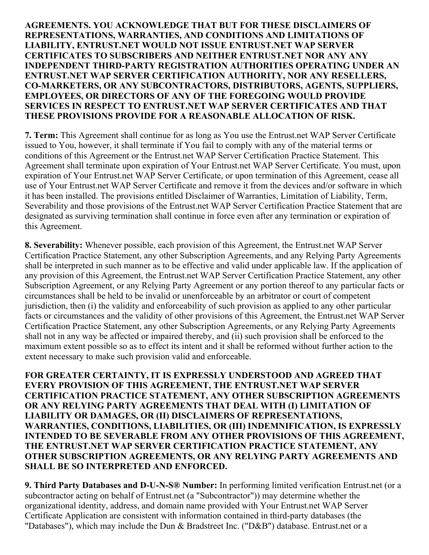## AGREEMENTS. YOU ACKNOWLEDGE THAT BUT FOR THESE DISCLAIMERS OF REPRESENTATIONS, WARRANTIES, AND CONDITIONS AND LIMITATIONS OF LIABILITY, ENTRUST.NET WOULD NOT ISSUE ENTRUST.NET WAP SERVER CERTIFICATES TO SUBSCRIBERS AND NEITHER ENTRUST.NET NOR ANY ANY INDEPENDENT THIRD-PARTY REGISTRATION AUTHORITIES OPERATING UNDER AN ENTRUST.NET WAP SERVER CERTIFICATION AUTHORITY, NOR ANY RESELLERS, COMARKETERS, OR ANY SUBCONTRACTORS, DISTRIBUTORS, AGENTS, SUPPLIERS, EMPLOYEES, OR DIRECTORS OF ANY OF THE FOREGOING WOULD PROVIDE SERVICES IN RESPECT TO ENTRUST.NET WAP SERVER CERTIFICATES AND THAT THESE PROVISIONS PROVIDE FOR A REASONABLE ALLOCATION OF RISK.

7. Term: This Agreement shall continue for as long as You use the Entrust.net WAP Server Certificate issued to You, however, it shall terminate if You fail to comply with any of the material terms or conditions of this Agreement or the Entrust.net WAP Server Certification Practice Statement. This Agreement shall terminate upon expiration of Your Entrust.net WAP Server Certificate. You must, upon expiration of Your Entrust.net WAP Server Certificate, or upon termination of this Agreement, cease all use of Your Entrust.net WAP Server Certificate and remove it from the devices and/or software in which it has been installed. The provisions entitled Disclaimer of Warranties, Limitation of Liability, Term, Severability and those provisions of the Entrust.net WAP Server Certification Practice Statement that are designated as surviving termination shall continue in force even after any termination or expiration of this Agreement.

8. Severability: Whenever possible, each provision of this Agreement, the Entrust.net WAP Server Certification Practice Statement, any other Subscription Agreements, and any Relying Party Agreements shall be interpreted in such manner as to be effective and valid under applicable law. If the application of any provision of this Agreement, the Entrust.net WAP Server Certification Practice Statement, any other Subscription Agreement, or any Relying Party Agreement or any portion thereof to any particular facts or circumstances shall be held to be invalid or unenforceable by an arbitrator or court of competent jurisdiction, then (i) the validity and enforceability of such provision as applied to any other particular facts or circumstances and the validity of other provisions of this Agreement, the Entrust.net WAP Server Certification Practice Statement, any other Subscription Agreements, or any Relying Party Agreements shall not in any way be affected or impaired thereby, and (ii) such provision shall be enforced to the maximum extent possible so as to effect its intent and it shall be reformed without further action to the extent necessary to make such provision valid and enforceable.

FOR GREATER CERTAINTY, IT IS EXPRESSLY UNDERSTOOD AND AGREED THAT EVERY PROVISION OF THIS AGREEMENT, THE ENTRUST.NET WAP SERVER CERTIFICATION PRACTICE STATEMENT, ANY OTHER SUBSCRIPTION AGREEMENTS OR ANY RELYING PARTY AGREEMENTS THAT DEAL WITH (I) LIMITATION OF LIABILITY OR DAMAGES, OR (II) DISCLAIMERS OF REPRESENTATIONS, WARRANTIES, CONDITIONS, LIABILITIES, OR (III) INDEMNIFICATION, IS EXPRESSLY INTENDED TO BE SEVERABLE FROM ANY OTHER PROVISIONS OF THIS AGREEMENT, THE ENTRUST.NET WAP SERVER CERTIFICATION PRACTICE STATEMENT, ANY OTHER SUBSCRIPTION AGREEMENTS, OR ANY RELYING PARTY AGREEMENTS AND SHALL BE SO INTERPRETED AND ENFORCED.

9. Third Party Databases and D-U-N-S® Number: In performing limited verification Entrust.net (or a subcontractor acting on behalf of Entrust.net (a "Subcontractor")) may determine whether the organizational identity, address, and domain name provided with Your Entrust.net WAP Server Certificate Application are consistent with information contained in third-party databases (the "Databases"), which may include the Dun & Bradstreet Inc. ("D&B") database. Entrust.net or a